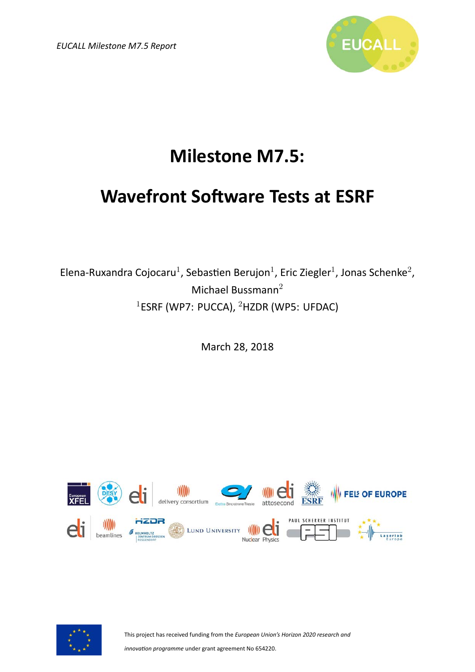*EUCALL Milestone M7.5 Report*



### **Milestone M7.5:**

#### **Wavefront Software Tests at ESRF**

Elena-Ruxandra Cojocaru<sup>1</sup>, Sebastien Berujon<sup>1</sup>, Eric Ziegler<sup>1</sup>, Jonas Schenke<sup>2</sup>, Michael Bussmann<sup>2</sup>  $1$ ESRF (WP7: PUCCA),  $2$ HZDR (WP5: UFDAC)

March 28, 2018





This project has received funding from the *European Union's Horizon 2020 research and*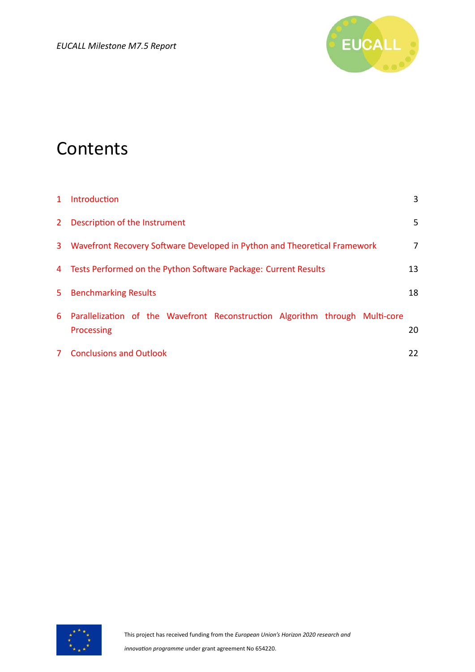

#### **Contents**

| $1 \quad$ | Introduction                                                                                 | 3  |
|-----------|----------------------------------------------------------------------------------------------|----|
|           | 2 Description of the Instrument                                                              | 5  |
|           | 3 Wavefront Recovery Software Developed in Python and Theoretical Framework                  | 7  |
|           | 4 Tests Performed on the Python Software Package: Current Results                            | 13 |
| 5         | <b>Benchmarking Results</b>                                                                  | 18 |
|           | 6 Parallelization of the Wavefront Reconstruction Algorithm through Multi-core<br>Processing | 20 |
|           | 7 Conclusions and Outlook                                                                    | 22 |

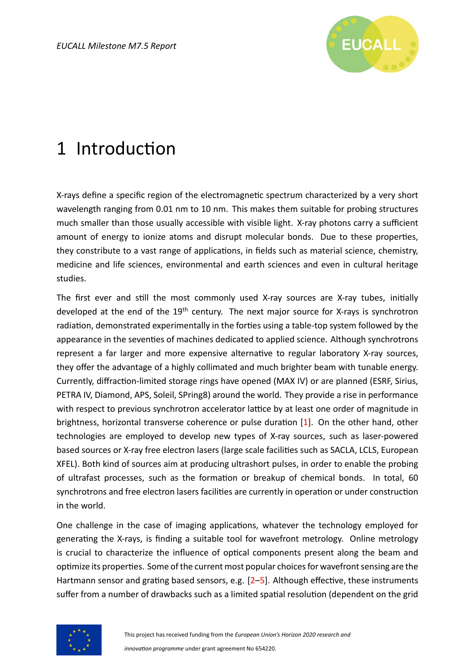

### <span id="page-2-0"></span>1 Introduction

X-rays define a specific region of the electromagnetic spectrum characterized by a very short wavelength ranging from 0.01 nm to 10 nm. This makes them suitable for probing structures much smaller than those usually accessible with visible light. X-ray photons carry a sufficient amount of energy to ionize atoms and disrupt molecular bonds. Due to these properties, they constribute to a vast range of applications, in fields such as material science, chemistry, medicine and life sciences, environmental and earth sciences and even in cultural heritage studies.

The first ever and still the most commonly used X-ray sources are X-ray tubes, initially developed at the end of the  $19<sup>th</sup>$  century. The next major source for X-rays is synchrotron radiation, demonstrated experimentally in the forties using a table-top system followed by the appearance in the seventies of machines dedicated to applied science. Although synchrotrons represent a far larger and more expensive alternative to regular laboratory X-ray sources, they offer the advantage of a highly collimated and much brighter beam with tunable energy. Currently, diffraction-limited storage rings have opened (MAX IV) or are planned (ESRF, Sirius, PETRA IV, Diamond, APS, Soleil, SPring8) around the world. They provide a rise in performance with respect to previous synchrotron accelerator lattice by at least one order of magnitude in brightness, horizontal transverse coherence or pulse duration  $[1]$ . On the other hand, other technologies are employed to develop new types of X-ray sources, such as laser-powered based sources or X-ray free electron lasers (large scale facilities such as SACLA, LCLS, European XFEL). Both kind of sources aim at producing ultrashort pulses, in order to enable the probing of ultrafast processes, such as the formation or breakup of chemical bonds. In total, 60 synchrotrons and free electron lasers facilities are currently in operation or under construction in the world.

One challenge in the case of imaging applications, whatever the technology employed for generating the X-rays, is finding a suitable tool for wavefront metrology. Online metrology is crucial to characterize the influence of optical components present along the beam and optimize its properties. Some of the current most popular choices for wavefront sensing are the Hartmannsensor and grating based sensors, e.g.  $[2-5]$  $[2-5]$ . Although effective, these instruments suffer from a number of drawbacks such as a limited spatial resolution (dependent on the grid

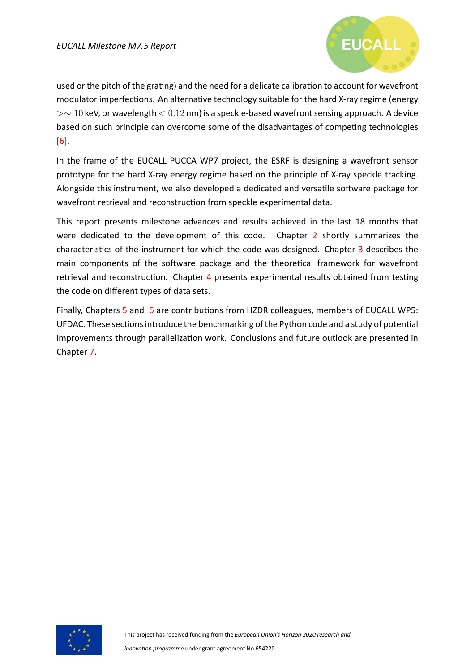

used or the pitch of the grating) and the need for a delicate calibration to account for wavefront modulator imperfections. An alternative technology suitable for the hard X-ray regime (energy *>∼* 10 keV, or wavelength *<* 0*.*12 nm) is a speckle-based wavefront sensing approach. A device based on such principle can overcome some of the disadvantages of competing technologies  $|6|$ .

In the frame of the EUCALL PUCCA WP7 project, the ESRF is designing a wavefront sensor prototype for the hard X-ray energy regime based on the principle of X-ray speckle tracking. Alongside this instrument, we also developed a dedicated and versatile software package for wavefront retrieval and reconstruction from speckle experimental data.

This report presents milestone advances and results achieved in the last 18 months that were dedicated to the development of this code. Chapter [2](#page-4-0) shortly summarizes the characteristics of the instrument for which the code was designed. Chapter [3](#page-6-0) describes the main components of the software package and the theoretical framework for wavefront retrieval and reconstruction. Chapter [4](#page-12-0) presents experimental results obtained from testing the code on different types of data sets.

Finally, Chapters [5](#page-17-0) and [6](#page-19-0) are contributions from HZDR colleagues, members of EUCALL WP5: UFDAC. These sections introduce the benchmarking of the Python code and a study of potential improvements through parallelization work. Conclusions and future outlook are presented in Chapter [7](#page-21-0).

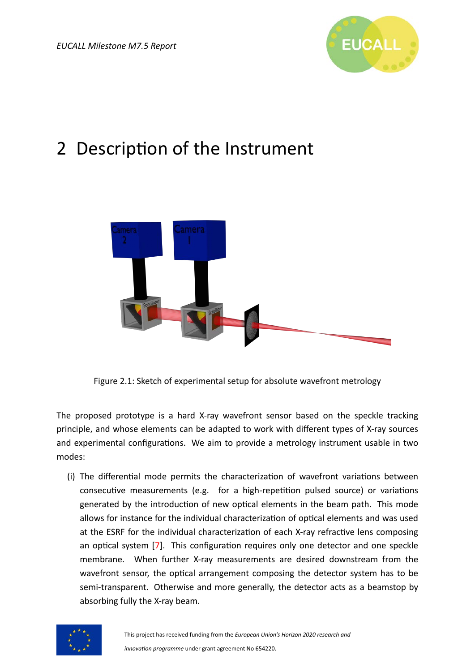

### <span id="page-4-0"></span>2 Description of the Instrument

<span id="page-4-1"></span>

Figure 2.1: Sketch of experimental setup for absolute wavefront metrology

The proposed prototype is a hard X-ray wavefront sensor based on the speckle tracking principle, and whose elements can be adapted to work with different types of X-ray sources and experimental configurations. We aim to provide a metrology instrument usable in two modes:

(i) The differential mode permits the characterization of wavefront variations between consecutive measurements (e.g. for a high-repetition pulsed source) or variations generated by the introduction of new optical elements in the beam path. This mode allows for instance for the individual characterization of optical elements and was used at the ESRF for the individual characterization of each X-ray refractive lens composing an optical system [\[7](#page-22-4)]. This configuration requires only one detector and one speckle membrane. When further X-ray measurements are desired downstream from the wavefront sensor, the optical arrangement composing the detector system has to be semi-transparent. Otherwise and more generally, the detector acts as a beamstop by absorbing fully the X-ray beam.

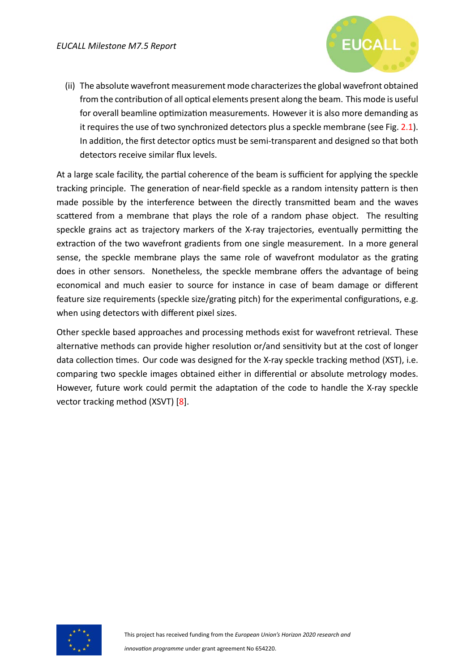

(ii) The absolute wavefront measurement mode characterizes the global wavefront obtained from the contribution of all optical elements present along the beam. This mode is useful for overall beamline optimization measurements. However it is also more demanding as it requires the use of two synchronized detectors plus a speckle membrane (see Fig. [2.1\)](#page-4-1). In addition, the first detector optics must be semi-transparent and designed so that both detectors receive similar flux levels.

At a large scale facility, the partial coherence of the beam is sufficient for applying the speckle tracking principle. The generation of near-field speckle as a random intensity pattern is then made possible by the interference between the directly transmitted beam and the waves scattered from a membrane that plays the role of a random phase object. The resulting speckle grains act as trajectory markers of the X-ray trajectories, eventually permitting the extraction of the two wavefront gradients from one single measurement. In a more general sense, the speckle membrane plays the same role of wavefront modulator as the grating does in other sensors. Nonetheless, the speckle membrane offers the advantage of being economical and much easier to source for instance in case of beam damage or different feature size requirements (speckle size/grating pitch) for the experimental configurations, e.g. when using detectors with different pixel sizes.

Other speckle based approaches and processing methods exist for wavefront retrieval. These alternative methods can provide higher resolution or/and sensitivity but at the cost of longer data collection times. Our code was designed for the X-ray speckle tracking method (XST), i.e. comparing two speckle images obtained either in differential or absolute metrology modes. However, future work could permit the adaptation of the code to handle the X-ray speckle vector tracking method (XSVT) [\[8\]](#page-22-5).

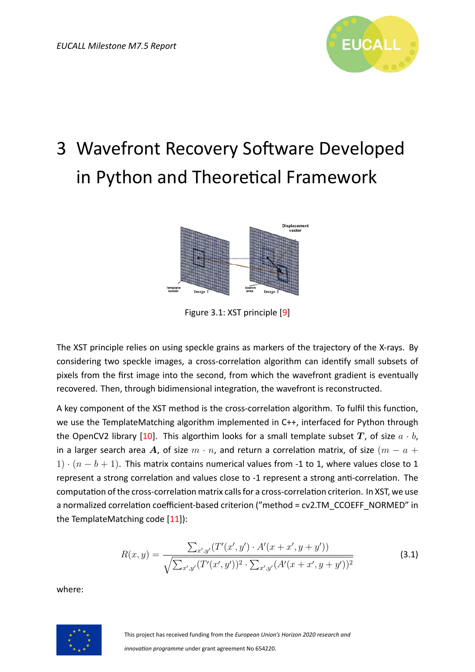

## <span id="page-6-0"></span>3 Wavefront Recovery Software Developed in Python and Theoretical Framework



Figure 3.1: XST principle[[9](#page-22-6)]

The XST principle relies on using speckle grains as markers of the trajectory of the X-rays. By considering two speckle images, a cross-correlation algorithm can identify small subsets of pixels from the first image into the second, from which the wavefront gradient is eventually recovered. Then, through bidimensional integration, the wavefront is reconstructed.

A key component of the XST method is the cross-correlation algorithm. To fulfil this function, we use the TemplateMatching algorithm implemented in C++, interfaced for Python through theOpenCV2 library [[10\]](#page-22-7). This algorthim looks for a small template subset  $T$ , of size  $a \cdot b$ , in a larger search area A, of size  $m \cdot n$ , and return a correlation matrix, of size  $(m - a +$ 1) *·* (*n − b* + 1). This matrix contains numerical values from -1 to 1, where values close to 1 represent a strong correlation and values close to -1 represent a strong anti-correlation. The computation of the cross-correlation matrix calls for a cross-correlation criterion. In XST, we use a normalized correlation coefficient-based criterion ("method = cv2.TM\_CCOEFF\_NORMED" in theTemplateMatching code [[11\]](#page-22-8)):

$$
R(x,y) = \frac{\sum_{x',y'} (T'(x',y') \cdot A'(x+x',y+y'))}{\sqrt{\sum_{x',y'} (T'(x',y'))^2 \cdot \sum_{x',y'} (A'(x+x',y+y'))^2}}
$$
(3.1)

where:

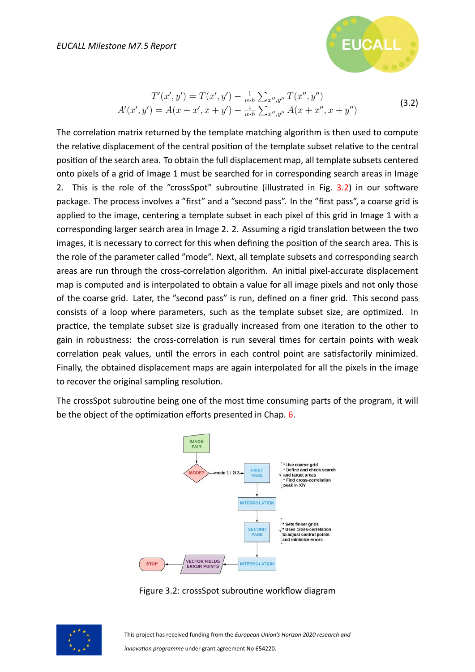

$$
T'(x', y') = T(x', y') - \frac{1}{w \cdot h} \sum_{x'', y''} T(x'', y'')
$$
  

$$
A'(x', y') = A(x + x', x + y') - \frac{1}{w \cdot h} \sum_{x'', y''} A(x + x'', x + y'')
$$
 (3.2)

The correlation matrix returned by the template matching algorithm is then used to compute the relative displacement of the central position of the template subset relative to the central position of the search area. To obtain the full displacement map, all template subsets centered onto pixels of a grid of Image 1 must be searched for in corresponding search areas in Image 2. This is the role of the "crossSpot" subroutine (illustrated in Fig. [3.2](#page-7-0)) in our software package. The process involves a "first" and a "second pass". In the "first pass", a coarse grid is applied to the image, centering a template subset in each pixel of this grid in Image 1 with a corresponding larger search area in Image 2. 2. Assuming a rigid translation between the two images, it is necessary to correct for this when defining the position of the search area. This is the role of the parameter called "mode". Next, all template subsets and corresponding search areas are run through the cross-correlation algorithm. An initial pixel-accurate displacement map is computed and is interpolated to obtain a value for all image pixels and not only those of the coarse grid. Later, the "second pass" is run, defined on a finer grid. This second pass consists of a loop where parameters, such as the template subset size, are optimized. In practice, the template subset size is gradually increased from one iteration to the other to gain in robustness: the cross-correlation is run several times for certain points with weak correlation peak values, until the errors in each control point are satisfactorily minimized. Finally, the obtained displacement maps are again interpolated for all the pixels in the image to recover the original sampling resolution.

<span id="page-7-0"></span>The crossSpot subroutine being one of the most time consuming parts of the program, it will be the object of the optimization efforts presented in Chap. [6](#page-19-0).



Figure 3.2: crossSpot subroutine workflow diagram

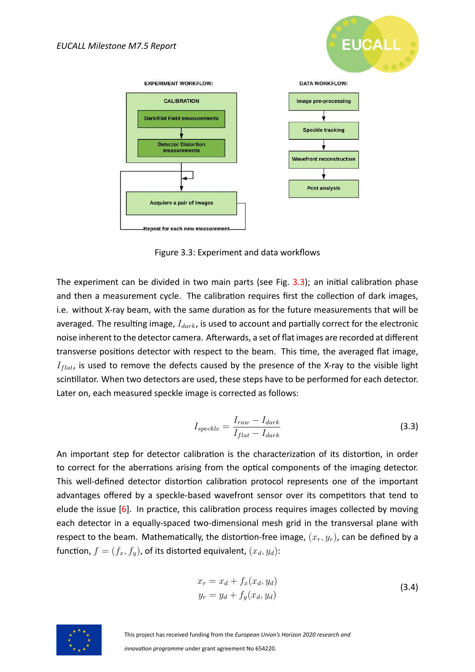

<span id="page-8-0"></span>

Figure 3.3: Experiment and data workflows

The experiment can be divided in two main parts (see Fig.  $3.3$ ); an initial calibration phase and then a measurement cycle. The calibration requires first the collection of dark images, i.e. without X-ray beam, with the same duration as for the future measurements that will be averaged. The resulting image,  $I_{dark}$ , is used to account and partially correct for the electronic noise inherent to the detector camera. Afterwards, a set of flat images are recorded at different transverse positions detector with respect to the beam. This time, the averaged flat image,  $I_{flat}$ , is used to remove the defects caused by the presence of the X-ray to the visible light scintillator. When two detectors are used, these steps have to be performed for each detector. Later on, each measured speckle image is corrected as follows:

$$
I_{speckle} = \frac{I_{raw} - I_{dark}}{I_{flat} - I_{dark}}
$$
\n(3.3)

An important step for detector calibration is the characterization of its distortion, in order to correct for the aberrations arising from the optical components of the imaging detector. This well-defined detector distortion calibration protocol represents one of the important advantages offered by a speckle-based wavefront sensor over its competitors that tend to eludethe issue  $[6]$  $[6]$ . In practice, this calibration process requires images collected by moving each detector in a equally-spaced two-dimensional mesh grid in the transversal plane with respect to the beam. Mathematically, the distortion-free image,  $(x_r, y_r)$ , can be defined by a function,  $f = (f_x, f_y)$ , of its distorted equivalent,  $(x_d, y_d)$ :

$$
x_r = x_d + f_x(x_d, y_d)
$$
  
\n
$$
y_r = y_d + f_y(x_d, y_d)
$$
\n(3.4)



This project has received funding from the *European Union's Horizon 2020 research and*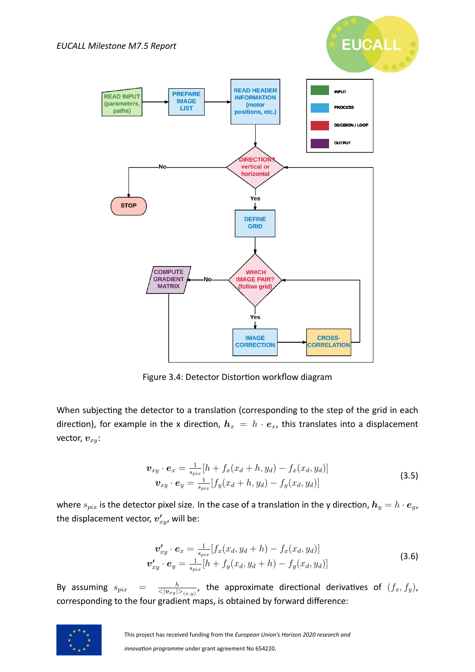<span id="page-9-0"></span>

**EUCALL** 

Figure 3.4: Detector Distortion workflow diagram

When subjecting the detector to a translation (corresponding to the step of the grid in each direction), for example in the x direction,  $h_x = h \cdot e_x$ , this translates into a displacement vector, *vxy*:

$$
\mathbf{v}_{xy} \cdot \mathbf{e}_x = \frac{1}{s_{pix}} [h + f_x(x_d + h, y_d) - f_x(x_d, y_d)] \n\mathbf{v}_{xy} \cdot \mathbf{e}_y = \frac{1}{s_{pix}} [f_y(x_d + h, y_d) - f_y(x_d, y_d)]
$$
\n(3.5)

where  $s_{pix}$  is the detector pixel size. In the case of a translation in the y direction,  $h_y = h \cdot e_y$ , the displacement vector,  $v'_{xy}$ , will be:

$$
\mathbf{v}'_{xy} \cdot \mathbf{e}_x = \frac{1}{s_{pix}} [f_x(x_d, y_d + h) - f_x(x_d, y_d)]
$$
  
\n
$$
\mathbf{v}'_{xy} \cdot \mathbf{e}_y = \frac{1}{s_{pix}} [h + f_y(x_d, y_d + h) - f_y(x_d, y_d)]
$$
\n(3.6)

By assuming  $s_{pix}$  = *h*  $\frac{h}{<|v_{xy}|>_{(x,y)}}$ , the approximate directional derivatives of  $(f_x, f_y)$ , corresponding to the four gradient maps, is obtained by forward difference:

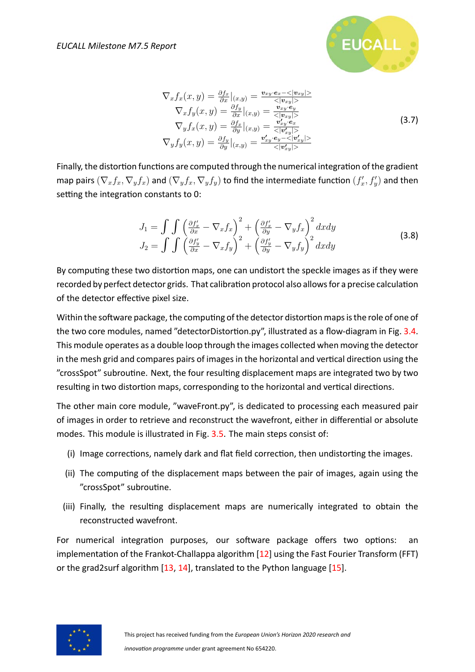

$$
\nabla_x f_x(x, y) = \frac{\partial f_x}{\partial x}|_{(x, y)} = \frac{v_{xy} \cdot e_x - \langle v_{xy} \rangle}{\langle v_{xy} \rangle} \n\nabla_x f_y(x, y) = \frac{\partial f_y}{\partial x}|_{(x, y)} = \frac{v_{xy} \cdot e_y}{\langle v_{xy} \rangle} \n\nabla_y f_x(x, y) = \frac{\partial f_x}{\partial y}|_{(x, y)} = \frac{v'_{xy} \cdot e_x}{\langle v'_{xy} \rangle} \n\nabla_y f_y(x, y) = \frac{\partial f_y}{\partial y}|_{(x, y)} = \frac{v'_{xy} \cdot e_y - \langle v'_{xy} \rangle}{\langle v'_{xy} \rangle} \n(3.7)
$$

Finally, the distortion functions are computed through the numerical integration of the gradient map pairs  $(\nabla_x f_x, \nabla_y f_x)$  and  $(\nabla_y f_x, \nabla_y f_y)$  to find the intermediate function  $(f'_x, f'_y)$  and then setting the integration constants to 0:

$$
J_1 = \int \int \left(\frac{\partial f'_x}{\partial x} - \nabla_x f_x\right)^2 + \left(\frac{\partial f'_x}{\partial y} - \nabla_y f_x\right)^2 dx dy
$$
  
\n
$$
J_2 = \int \int \left(\frac{\partial f'_y}{\partial x} - \nabla_x f_y\right)^2 + \left(\frac{\partial f'_y}{\partial y} - \nabla_y f_y\right)^2 dx dy
$$
\n(3.8)

By computing these two distortion maps, one can undistort the speckle images as if they were recorded by perfect detector grids. That calibration protocol also allows for a precise calculation of the detector effective pixel size.

Within the software package, the computing of the detector distortion maps is the role of one of the two core modules, named "detectorDistortion.py", illustrated as a flow-diagram in Fig. [3.4](#page-9-0). This module operates as a double loop through the images collected when moving the detector in the mesh grid and compares pairs of images in the horizontal and vertical direction using the "crossSpot" subrouƟne. Next, the four resulƟng displacement maps are integrated two by two resulting in two distortion maps, corresponding to the horizontal and vertical directions.

The other main core module, "waveFront.py", is dedicated to processing each measured pair of images in order to retrieve and reconstruct the wavefront, either in differential or absolute modes. This module is illustrated in Fig. [3.5](#page-11-0). The main steps consist of:

- (i) Image corrections, namely dark and flat field correction, then undistorting the images.
- (ii) The computing of the displacement maps between the pair of images, again using the "crossSpot" subroutine.
- (iii) Finally, the resulting displacement maps are numerically integrated to obtain the reconstructed wavefront.

For numerical integration purposes, our software package offers two options: an implementation of the Frankot-Challappa algorithm  $[12]$  using the Fast Fourier Transform (FFT) or the grad2surf algorithm[[13,](#page-22-10) [14](#page-22-11)], translated to the Python language[[15](#page-22-12)].

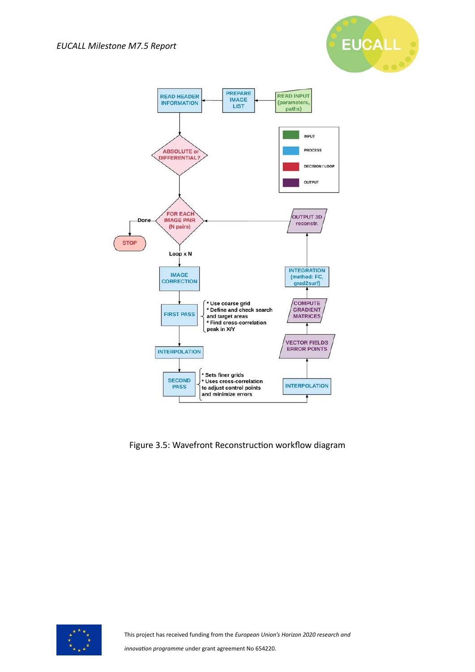

<span id="page-11-0"></span>

Figure 3.5: Wavefront Reconstruction workflow diagram

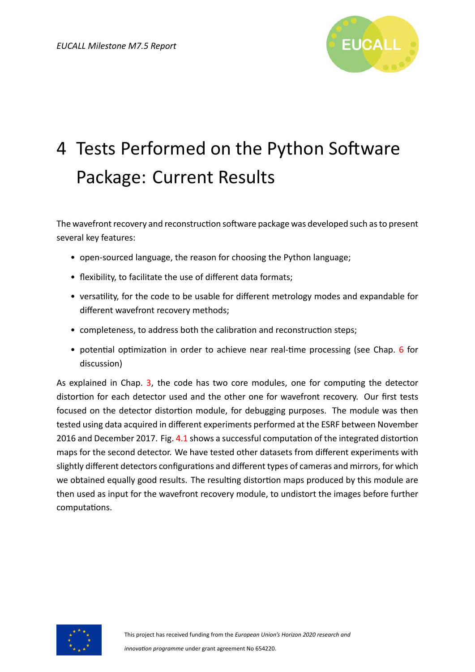

# <span id="page-12-0"></span>4 Tests Performed on the Python Software Package: Current Results

The wavefront recovery and reconstruction software package was developed such as to present several key features:

- open-sourced language, the reason for choosing the Python language;
- flexibility, to facilitate the use of different data formats;
- versatility, for the code to be usable for different metrology modes and expandable for different wavefront recovery methods;
- completeness, to address both the calibration and reconstruction steps;
- potential optimization in order to achieve near real-time processing (see Chap. [6](#page-19-0) for discussion)

As explained in Chap. [3,](#page-6-0) the code has two core modules, one for computing the detector distortion for each detector used and the other one for wavefront recovery. Our first tests focused on the detector distortion module, for debugging purposes. The module was then tested using data acquired in different experiments performed at the ESRF between November 2016 and December 2017. Fig. [4.1](#page-13-0) shows a successful computation of the integrated distortion maps for the second detector. We have tested other datasets from different experiments with slightly different detectors configurations and different types of cameras and mirrors, for which we obtained equally good results. The resulting distortion maps produced by this module are then used as input for the wavefront recovery module, to undistort the images before further computations.

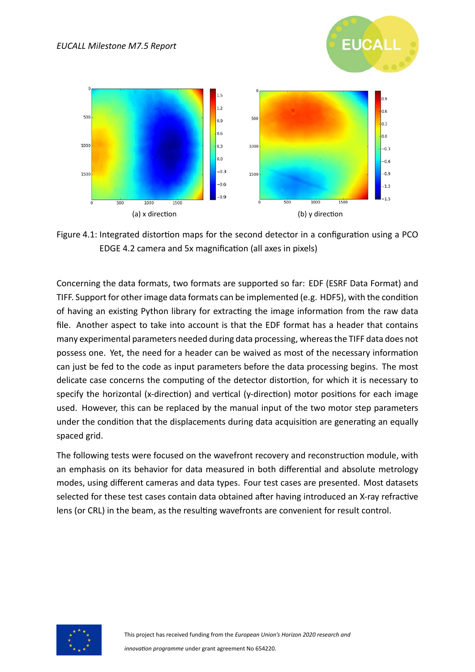<span id="page-13-0"></span>

**EUCALL** 

Figure 4.1: Integrated distortion maps for the second detector in a configuration using a PCO EDGE 4.2 camera and 5x magnification (all axes in pixels)

Concerning the data formats, two formats are supported so far: EDF (ESRF Data Format) and TIFF. Support for other image data formats can be implemented (e.g. HDF5), with the condition of having an existing Python library for extracting the image information from the raw data file. Another aspect to take into account is that the EDF format has a header that contains many experimental parameters needed during data processing, whereas the TIFF data does not possess one. Yet, the need for a header can be waived as most of the necessary information can just be fed to the code as input parameters before the data processing begins. The most delicate case concerns the computing of the detector distortion, for which it is necessary to specify the horizontal (x-direction) and vertical (y-direction) motor positions for each image used. However, this can be replaced by the manual input of the two motor step parameters under the condition that the displacements during data acquisition are generating an equally spaced grid.

The following tests were focused on the wavefront recovery and reconstruction module, with an emphasis on its behavior for data measured in both differential and absolute metrology modes, using different cameras and data types. Four test cases are presented. Most datasets selected for these test cases contain data obtained after having introduced an X-ray refractive lens (or CRL) in the beam, as the resulting wavefronts are convenient for result control.

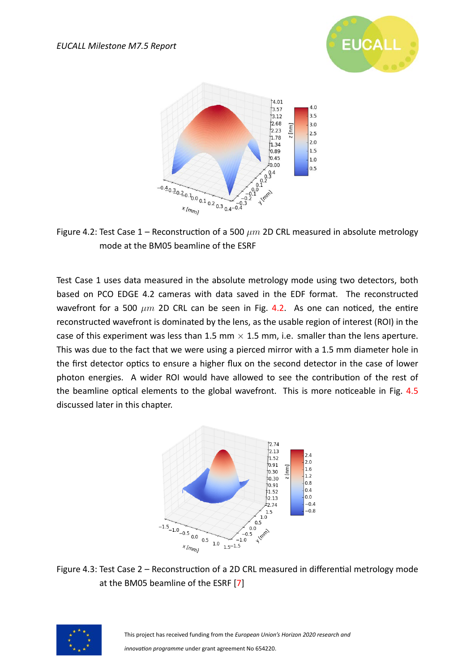

<span id="page-14-0"></span>

Figure 4.2: Test Case  $1$  – Reconstruction of a 500  $\mu$ m 2D CRL measured in absolute metrology mode at the BM05 beamline of the ESRF

Test Case 1 uses data measured in the absolute metrology mode using two detectors, both based on PCO EDGE 4.2 cameras with data saved in the EDF format. The reconstructed wavefront for a 500  $\mu$ m 2D CRL can be seen in Fig. [4.2](#page-14-0). As one can noticed, the entire reconstructed wavefront is dominated by the lens, as the usable region of interest (ROI) in the case of this experiment was less than 1.5 mm *×* 1.5 mm, i.e. smaller than the lens aperture. This was due to the fact that we were using a pierced mirror with a 1.5 mm diameter hole in the first detector optics to ensure a higher flux on the second detector in the case of lower photon energies. A wider ROI would have allowed to see the contribution of the rest of the beamline optical elements to the global wavefront. This is more noticeable in Fig. [4.5](#page-16-0) discussed later in this chapter.

<span id="page-14-1"></span>

Figure 4.3: Test Case 2 – Reconstruction of a 2D CRL measured in differential metrology mode at the BM05 beamline of the ESRF[[7\]](#page-22-4)

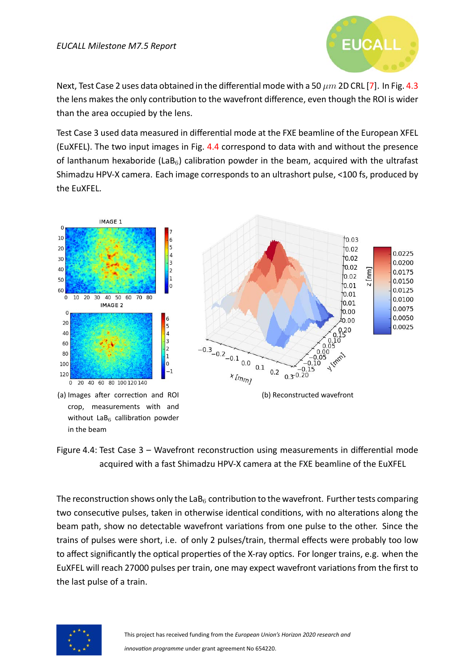

Next,Test Case 2 uses data obtained in the differential mode with a 50  $\mu$ m 2D CRL [[7](#page-22-4)]. In Fig. [4.3](#page-14-1) the lens makes the only contribution to the wavefront difference, even though the ROI is wider than the area occupied by the lens.

Test Case 3 used data measured in differential mode at the FXE beamline of the European XFEL (EuXFEL). The two input images in Fig. [4.4](#page-15-0) correspond to data with and without the presence of lanthanum hexaboride (LaB<sub>6</sub>) calibration powder in the beam, acquired with the ultrafast Shimadzu HPV-X camera. Each image corresponds to an ultrashort pulse, <100 fs, produced by the EuXFEL.

<span id="page-15-0"></span>

(a) Images after correction and ROI crop, measurements with and without  $LaB<sub>6</sub>$  callibration powder in the beam



Figure 4.4: Test Case 3 – Wavefront reconstruction using measurements in differential mode acquired with a fast Shimadzu HPV-X camera at the FXE beamline of the EuXFEL

The reconstruction shows only the LaB $_6$  contribution to the wavefront. Further tests comparing two consecutive pulses, taken in otherwise identical conditions, with no alterations along the beam path, show no detectable wavefront variations from one pulse to the other. Since the trains of pulses were short, i.e. of only 2 pulses/train, thermal effects were probably too low to affect significantly the optical properties of the X-ray optics. For longer trains, e.g. when the EuXFEL will reach 27000 pulses per train, one may expect wavefront variations from the first to the last pulse of a train.

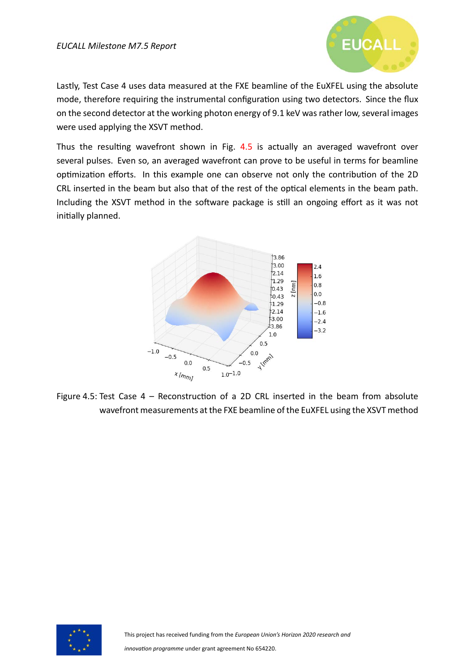

Lastly, Test Case 4 uses data measured at the FXE beamline of the EuXFEL using the absolute mode, therefore requiring the instrumental configuration using two detectors. Since the flux on the second detector at the working photon energy of 9.1 keV was rather low, several images were used applying the XSVT method.

Thus the resulting wavefront shown in Fig. [4.5](#page-16-0) is actually an averaged wavefront over several pulses. Even so, an averaged wavefront can prove to be useful in terms for beamline optimization efforts. In this example one can observe not only the contribution of the 2D CRL inserted in the beam but also that of the rest of the optical elements in the beam path. Including the XSVT method in the software package is still an ongoing effort as it was not initially planned.

<span id="page-16-0"></span>

Figure 4.5: Test Case  $4$  – Reconstruction of a 2D CRL inserted in the beam from absolute wavefront measurements at the FXE beamline of the EuXFEL using the XSVT method

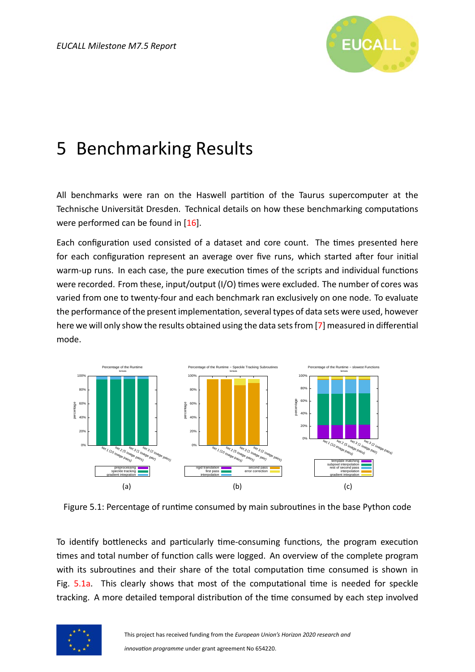

### <span id="page-17-0"></span>5 Benchmarking Results

All benchmarks were ran on the Haswell partition of the Taurus supercomputer at the Technische Universität Dresden. Technical details on how these benchmarking computations wereperformed can be found in [[16](#page-22-13)].

Each configuration used consisted of a dataset and core count. The times presented here for each configuration represent an average over five runs, which started after four initial warm-up runs. In each case, the pure execution times of the scripts and individual functions were recorded. From these, input/output (I/O) times were excluded. The number of cores was varied from one to twenty-four and each benchmark ran exclusively on one node. To evaluate the performance of the present implementation, several types of data sets were used, however here we will only show the results obtained using the data sets from [\[7](#page-22-4)] measured in differential mode.

<span id="page-17-1"></span>

<span id="page-17-3"></span><span id="page-17-2"></span>Figure 5.1: Percentage of runtime consumed by main subroutines in the base Python code

To identify bottlenecks and particularly time-consuming functions, the program execution times and total number of function calls were logged. An overview of the complete program with its subroutines and their share of the total computation time consumed is shown in Fig. [5.1a.](#page-17-1) This clearly shows that most of the computational time is needed for speckle tracking. A more detailed temporal distribution of the time consumed by each step involved

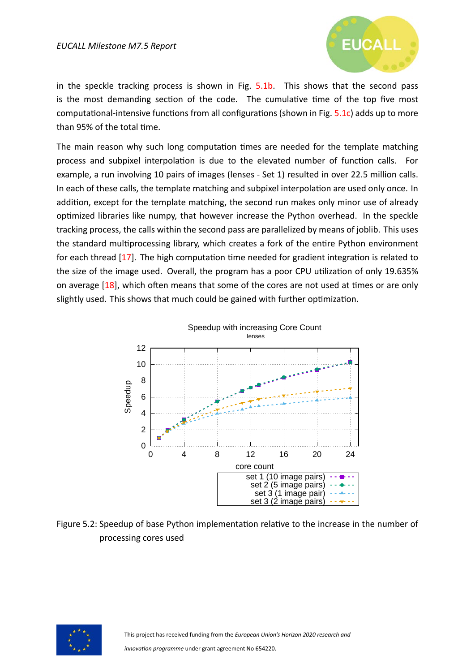

in the speckle tracking process is shown in Fig. [5.1b](#page-17-2). This shows that the second pass is the most demanding section of the code. The cumulative time of the top five most computational-intensive functions from all configurations (shown in Fig. [5.1c](#page-17-3)) adds up to more than 95% of the total time.

The main reason why such long computation times are needed for the template matching process and subpixel interpolation is due to the elevated number of function calls. For example, a run involving 10 pairs of images (lenses - Set 1) resulted in over 22.5 million calls. In each of these calls, the template matching and subpixel interpolation are used only once. In addition, except for the template matching, the second run makes only minor use of already optimized libraries like numpy, that however increase the Python overhead. In the speckle tracking process, the calls within the second pass are parallelized by means of joblib. This uses the standard multiprocessing library, which creates a fork of the entire Python environment for each thread  $[17]$ . The high computation time needed for gradient integration is related to the size of the image used. Overall, the program has a poor CPU utilization of only 19.635% on average  $[18]$ , which often means that some of the cores are not used at times or are only slightly used. This shows that much could be gained with further optimization.



Figure 5.2: Speedup of base Python implementation relative to the increase in the number of processing cores used

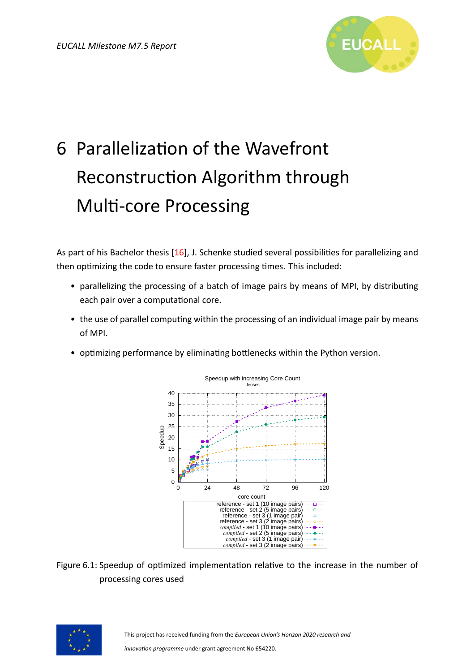

# <span id="page-19-0"></span>6 Parallelization of the Wavefront Reconstruction Algorithm through **Multi-core Processing**

Aspart of his Bachelor thesis [[16\]](#page-22-13), J. Schenke studied several possibilities for parallelizing and then optimizing the code to ensure faster processing times. This included:

- parallelizing the processing of a batch of image pairs by means of MPI, by distributing each pair over a computational core.
- the use of parallel computing within the processing of an individual image pair by means of MPI.
- <span id="page-19-1"></span>• optimizing performance by eliminating bottlenecks within the Python version.



Figure 6.1: Speedup of optimized implementation relative to the increase in the number of processing cores used

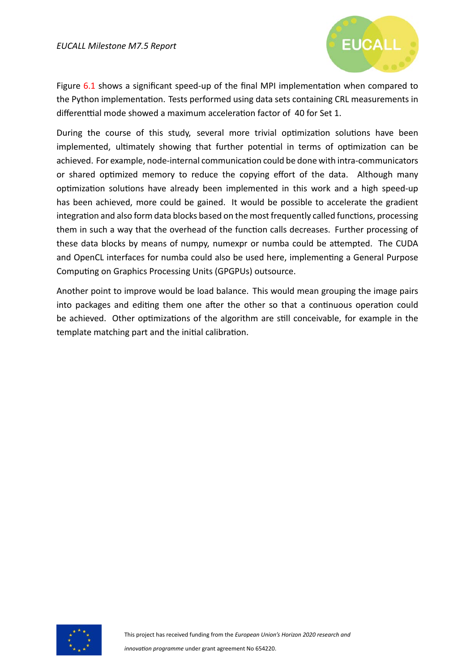

Figure  $6.1$  shows a significant speed-up of the final MPI implementation when compared to the Python implementation. Tests performed using data sets containing CRL measurements in differenttial mode showed a maximum acceleration factor of 40 for Set 1.

During the course of this study, several more trivial optimization solutions have been implemented, ultimately showing that further potential in terms of optimization can be achieved. For example, node-internal communication could be done with intra-communicators or shared optimized memory to reduce the copying effort of the data. Although many optimization solutions have already been implemented in this work and a high speed-up has been achieved, more could be gained. It would be possible to accelerate the gradient integration and also form data blocks based on the most frequently called functions, processing them in such a way that the overhead of the function calls decreases. Further processing of these data blocks by means of numpy, numexpr or numba could be attempted. The CUDA and OpenCL interfaces for numba could also be used here, implementing a General Purpose Computing on Graphics Processing Units (GPGPUs) outsource.

Another point to improve would be load balance. This would mean grouping the image pairs into packages and editing them one after the other so that a continuous operation could be achieved. Other optimizations of the algorithm are still conceivable, for example in the template matching part and the initial calibration.

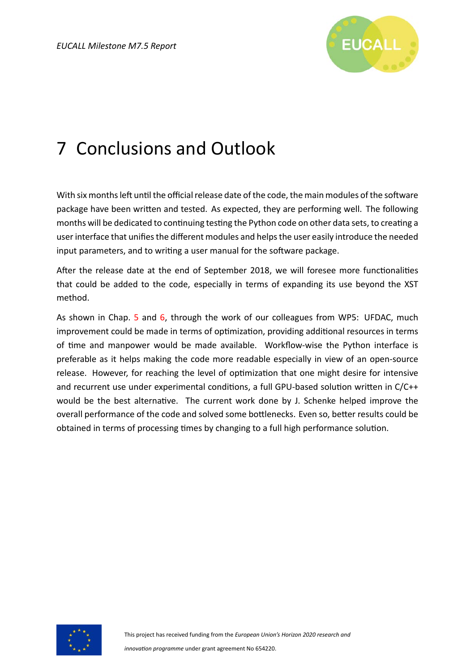

### <span id="page-21-0"></span>7 Conclusions and Outlook

With six months left until the official release date of the code, the main modules of the software package have been written and tested. As expected, they are performing well. The following months will be dedicated to continuing testing the Python code on other data sets, to creating a user interface that unifies the different modules and helps the user easily introduce the needed input parameters, and to writing a user manual for the software package.

After the release date at the end of September 2018, we will foresee more functionalities that could be added to the code, especially in terms of expanding its use beyond the XST method.

As shown in Chap. [5](#page-17-0) and [6,](#page-19-0) through the work of our colleagues from WP5: UFDAC, much improvement could be made in terms of optimization, providing additional resources in terms of time and manpower would be made available. Workflow-wise the Python interface is preferable as it helps making the code more readable especially in view of an open-source release. However, for reaching the level of optimization that one might desire for intensive and recurrent use under experimental conditions, a full GPU-based solution written in  $C/C++$ would be the best alternative. The current work done by J. Schenke helped improve the overall performance of the code and solved some bottlenecks. Even so, better results could be obtained in terms of processing times by changing to a full high performance solution.

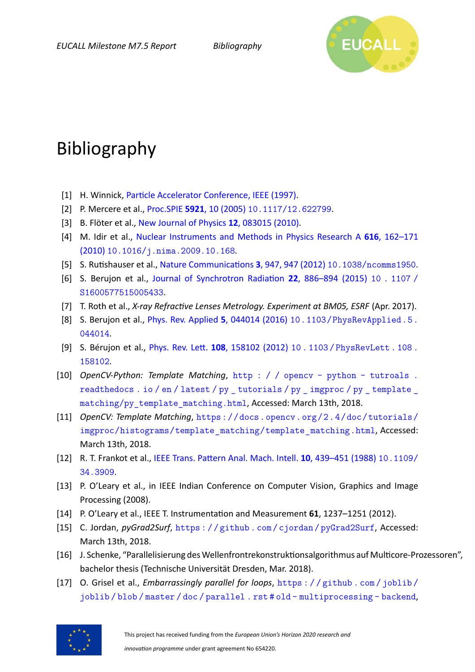

### Bibliography

- <span id="page-22-0"></span>[1] H. Winnick, Particle Accelerator Conference, IEEE (1997).
- <span id="page-22-1"></span>[2] P. Mercere et al., Proc.SPIE **5921**[, 10 \(2005\)](http://dx.doi.org/10.1117/12.622799) [10.1117/12.622799](http://dx.doi.org/10.1117/12.622799).
- [3] B. Flöter et al., [New Journal of Physics](http://stacks.iop.org/1367-2630/12/i=8/a=083015) **12**, 083015 (2010).
- [4] M. Idir et al., [Nuclear Instruments and Methods in Physics Research A](http://dx.doi.org/10.1016/j.nima.2009.10.168) **616**, 162–171 [\(2010\)](http://dx.doi.org/10.1016/j.nima.2009.10.168) [10.1016/j.nima.2009.10.168](http://dx.doi.org/10.1016/j.nima.2009.10.168).
- <span id="page-22-2"></span>[5] S. Rutishauser et al., Nature Communications **3**, 947, 947 (2012) [10.1038/ncomms1950](http://dx.doi.org/10.1038/ncomms1950).
- <span id="page-22-3"></span>[6] S. Berujon et al., Journal of Synchrotron Radiation **22**, 886–894 (2015) [10 . 1107 /](http://dx.doi.org/10.1107/S1600577515005433) [S1600577515005433](http://dx.doi.org/10.1107/S1600577515005433).
- <span id="page-22-4"></span>[7] T. Roth et al., *X-ray Refractive Lenses Metrology. Experiment at BM05, ESRF* (Apr. 2017).
- <span id="page-22-5"></span>[8] S. Berujon et al., [Phys. Rev. Applied](http://dx.doi.org/10.1103/PhysRevApplied.5.044014) **5**, 044014 (2016) [10.1103/PhysRevApplied.5.](http://dx.doi.org/10.1103/PhysRevApplied.5.044014) [044014](http://dx.doi.org/10.1103/PhysRevApplied.5.044014).
- <span id="page-22-6"></span>[9] S. Bérujon et al., *Phys. Rev. Lett.* **108**[, 158102 \(2012\)](http://dx.doi.org/10.1103/PhysRevLett.108.158102) 10. 1103 / PhysRevLett. 108. [158102](http://dx.doi.org/10.1103/PhysRevLett.108.158102).
- <span id="page-22-7"></span>[10] *OpenCV-Python: Template Matching*, [http : / / opencv - python - tutroals .](http://opencv-python-tutroals.readthedocs.io/en/latest/py_tutorials/py_imgproc/py_template_matching/py_template_matching.html) [readthedocs . io / en / latest / py \\_ tutorials / py \\_ imgproc / py \\_ template \\_](http://opencv-python-tutroals.readthedocs.io/en/latest/py_tutorials/py_imgproc/py_template_matching/py_template_matching.html) [matching/py\\_template\\_matching.html](http://opencv-python-tutroals.readthedocs.io/en/latest/py_tutorials/py_imgproc/py_template_matching/py_template_matching.html), Accessed: March 13th, 2018.
- <span id="page-22-8"></span>[11] *OpenCV: Template Matching*, [https://docs.opencv.org/2.4/doc/tutorials/](https://docs.opencv.org/2.4/doc/tutorials/imgproc/histograms/template_matching/template_matching.html) [imgproc/histograms/template\\_matching/template\\_matching.html](https://docs.opencv.org/2.4/doc/tutorials/imgproc/histograms/template_matching/template_matching.html), Accessed: March 13th, 2018.
- <span id="page-22-9"></span>[12] R. T. Frankot et al., IEEE Trans. Pattern Anal. Mach. Intell. **10**, 439-451 (1988) [10.1109/](http://dx.doi.org/10.1109/34.3909) [34.3909](http://dx.doi.org/10.1109/34.3909).
- <span id="page-22-10"></span>[13] P. O'Leary et al., in IEEE Indian Conference on Computer Vision, Graphics and Image Processing (2008).
- <span id="page-22-11"></span>[14] P. O'Leary et al., IEEE T. Instrumentation and Measurement **61**, 1237–1251 (2012).
- <span id="page-22-12"></span>[15] C. Jordan, *pyGrad2Surf*, <https://github.com/cjordan/pyGrad2Surf>, Accessed: March 13th, 2018.
- <span id="page-22-13"></span>[16] J. Schenke, "Parallelisierung des Wellenfrontrekonstruktionsalgorithmus auf Multicore-Prozessoren", bachelor thesis (Technische Universität Dresden, Mar. 2018).
- <span id="page-22-14"></span>[17] O. Grisel et al., *Embarrassingly parallel for loops*, [https : / / github . com / joblib /](https://github.com/joblib/joblib/blob/master/doc/parallel.rst#old-multiprocessing-backend) [joblib / blob / master / doc / parallel . rst # old - multiprocessing - backend](https://github.com/joblib/joblib/blob/master/doc/parallel.rst#old-multiprocessing-backend),